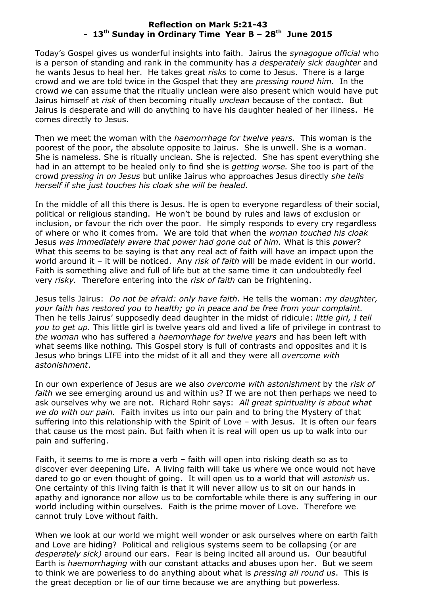## **Reflection on Mark 5:21-43 - 13 th Sunday in Ordinary Time Year B – 28th June 2015**

Today's Gospel gives us wonderful insights into faith. Jairus the *synagogue official* who is a person of standing and rank in the community has *a desperately sick daughter* and he wants Jesus to heal her. He takes great *risks* to come to Jesus. There is a large crowd and we are told twice in the Gospel that they are *pressing round him.* In the crowd we can assume that the ritually unclean were also present which would have put Jairus himself at *risk* of then becoming ritually *unclean* because of the contact. But Jairus is desperate and will do anything to have his daughter healed of her illness. He comes directly to Jesus.

Then we meet the woman with the *haemorrhage for twelve years.* This woman is the poorest of the poor, the absolute opposite to Jairus. She is unwell. She is a woman. She is nameless. She is ritually unclean. She is rejected. She has spent everything she had in an attempt to be healed only to find she is *getting worse.* She too is part of the crowd *pressing in on Jesus* but unlike Jairus who approaches Jesus directly *she tells herself if she just touches his cloak she will be healed.*

In the middle of all this there is Jesus. He is open to everyone regardless of their social, political or religious standing. He won't be bound by rules and laws of exclusion or inclusion, or favour the rich over the poor. He simply responds to every cry regardless of where or who it comes from. We are told that when the *woman touched his cloak* Jesus *was immediately aware that power had gone out of him.* What is this *power*? What this seems to be saying is that any real act of faith will have an impact upon the world around it – it will be noticed. Any *risk of faith* will be made evident in our world. Faith is something alive and full of life but at the same time it can undoubtedly feel very *risky.* Therefore entering into the *risk of faith* can be frightening.

Jesus tells Jairus: *Do not be afraid: only have faith.* He tells the woman: *my daughter, your faith has restored you to health; go in peace and be free from your complaint.*  Then he tells Jairus' supposedly dead daughter in the midst of ridicule: *little girl, I tell you to get up.* This little girl is twelve years old and lived a life of privilege in contrast to *the woman* who has suffered a *haemorrhage for twelve years* and has been left with what seems like nothing*.* This Gospel story is full of contrasts and opposites and it is Jesus who brings LIFE into the midst of it all and they were all *overcome with astonishment*.

In our own experience of Jesus are we also *overcome with astonishment* by the *risk of faith* we see emerging around us and within us? If we are not then perhaps we need to ask ourselves why we are not. Richard Rohr says: *All great spirituality is about what we do with our pain.* Faith invites us into our pain and to bring the Mystery of that suffering into this relationship with the Spirit of Love – with Jesus. It is often our fears that cause us the most pain. But faith when it is real will open us up to walk into our pain and suffering.

Faith, it seems to me is more a verb – faith will open into risking death so as to discover ever deepening Life. A living faith will take us where we once would not have dared to go or even thought of going. It will open us to a world that will *astonish* us. One certainty of this living faith is that it will never allow us to sit on our hands in apathy and ignorance nor allow us to be comfortable while there is any suffering in our world including within ourselves. Faith is the prime mover of Love. Therefore we cannot truly Love without faith.

When we look at our world we might well wonder or ask ourselves where on earth faith and Love are hiding? Political and religious systems seem to be collapsing (or are *desperately sick)* around our ears. Fear is being incited all around us. Our beautiful Earth is *haemorrhaging* with our constant attacks and abuses upon her. But we seem to think we are powerless to do anything about what is *pressing all round us*. This is the great deception or lie of our time because we are anything but powerless.